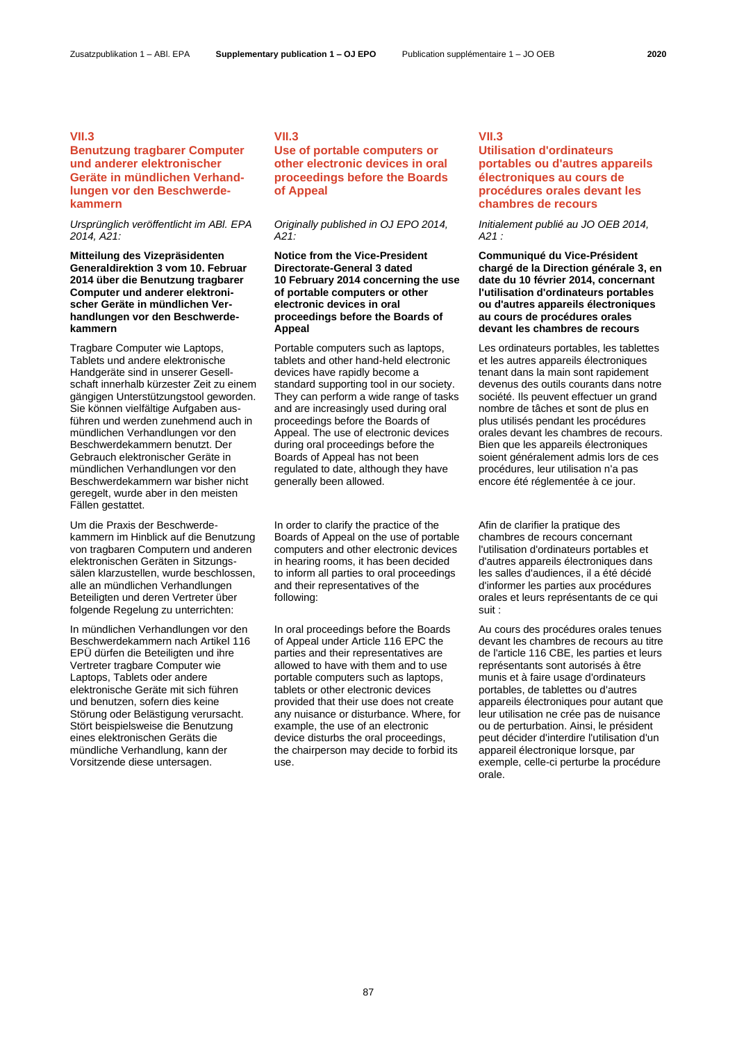### **VII.3**

## **Benutzung tragbarer Computer und anderer elektronischer Geräte in mündlichen Verhandlungen vor den Beschwerdekammern**

*Ursprünglich veröffentlicht im ABl. EPA 2014, A21:*

**Mitteilung des Vizepräsidenten Generaldirektion 3 vom 10. Februar 2014 über die Benutzung tragbarer Computer und anderer elektronischer Geräte in mündlichen Verhandlungen vor den Beschwerdekammern**

Tragbare Computer wie Laptops, Tablets und andere elektronische Handgeräte sind in unserer Gesellschaft innerhalb kürzester Zeit zu einem gängigen Unterstützungstool geworden. Sie können vielfältige Aufgaben ausführen und werden zunehmend auch in mündlichen Verhandlungen vor den Beschwerdekammern benutzt. Der Gebrauch elektronischer Geräte in mündlichen Verhandlungen vor den Beschwerdekammern war bisher nicht geregelt, wurde aber in den meisten Fällen gestattet.

Um die Praxis der Beschwerdekammern im Hinblick auf die Benutzung von tragbaren Computern und anderen elektronischen Geräten in Sitzungssälen klarzustellen, wurde beschlossen, alle an mündlichen Verhandlungen Beteiligten und deren Vertreter über folgende Regelung zu unterrichten:

In mündlichen Verhandlungen vor den Beschwerdekammern nach Artikel 116 EPÜ dürfen die Beteiligten und ihre Vertreter tragbare Computer wie Laptops, Tablets oder andere elektronische Geräte mit sich führen und benutzen, sofern dies keine Störung oder Belästigung verursacht. Stört beispielsweise die Benutzung eines elektronischen Geräts die mündliche Verhandlung, kann der Vorsitzende diese untersagen.

## **VII.3**

## **Use of portable computers or other electronic devices in oral proceedings before the Boards of Appeal**

*Originally published in OJ EPO 2014, A21:*

**Notice from the Vice-President Directorate-General 3 dated 10 February 2014 concerning the use of portable computers or other electronic devices in oral proceedings before the Boards of Appeal**

Portable computers such as laptops, tablets and other hand-held electronic devices have rapidly become a standard supporting tool in our society. They can perform a wide range of tasks and are increasingly used during oral proceedings before the Boards of Appeal. The use of electronic devices during oral proceedings before the Boards of Appeal has not been regulated to date, although they have generally been allowed.

In order to clarify the practice of the Boards of Appeal on the use of portable computers and other electronic devices in hearing rooms, it has been decided to inform all parties to oral proceedings and their representatives of the following:

In oral proceedings before the Boards of Appeal under Article 116 EPC the parties and their representatives are allowed to have with them and to use portable computers such as laptops, tablets or other electronic devices provided that their use does not create any nuisance or disturbance. Where, for example, the use of an electronic device disturbs the oral proceedings, the chairperson may decide to forbid its use.

#### **VII.3**

# **Utilisation d'ordinateurs portables ou d'autres appareils électroniques au cours de procédures orales devant les chambres de recours**

*Initialement publié au JO OEB 2014, A21 :*

**Communiqué du Vice-Président chargé de la Direction générale 3, en date du 10 février 2014, concernant l'utilisation d'ordinateurs portables ou d'autres appareils électroniques au cours de procédures orales devant les chambres de recours**

Les ordinateurs portables, les tablettes et les autres appareils électroniques tenant dans la main sont rapidement devenus des outils courants dans notre société. Ils peuvent effectuer un grand nombre de tâches et sont de plus en plus utilisés pendant les procédures orales devant les chambres de recours. Bien que les appareils électroniques soient généralement admis lors de ces procédures, leur utilisation n'a pas encore été réglementée à ce jour.

Afin de clarifier la pratique des chambres de recours concernant l'utilisation d'ordinateurs portables et d'autres appareils électroniques dans les salles d'audiences, il a été décidé d'informer les parties aux procédures orales et leurs représentants de ce qui suit :

Au cours des procédures orales tenues devant les chambres de recours au titre de l'article 116 CBE, les parties et leurs représentants sont autorisés à être munis et à faire usage d'ordinateurs portables, de tablettes ou d'autres appareils électroniques pour autant que leur utilisation ne crée pas de nuisance ou de perturbation. Ainsi, le président peut décider d'interdire l'utilisation d'un appareil électronique lorsque, par exemple, celle-ci perturbe la procédure orale.